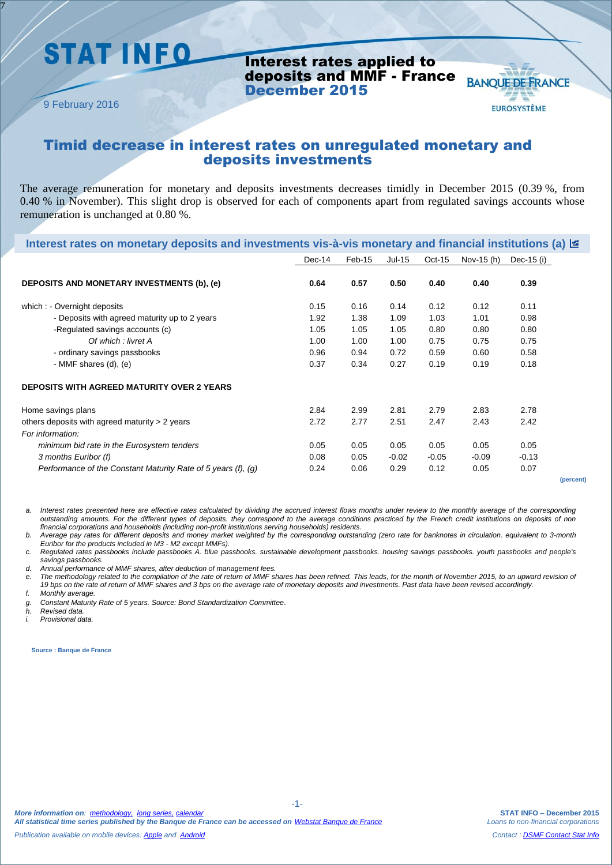## **STAT INFO**

Interest rates applied to deposits and MMF - France December 2015

9 February 2016

7

### **BANQUE DE FRANCE EUROSYSTÈME**

### Timid decrease in interest rates on unregulated monetary and deposits investments

The average remuneration for monetary and deposits investments decreases timidly in December 2015 (0.39 %, from 0.40 % in November). This slight drop is observed for each of components apart from regulated savings accounts whose remuneration is unchanged at 0.80 %.

| lnterest rates on monetary deposits and investments vis-à-vis monetary and financial institutions (a) $\equiv$ |        |        |         |          |            |            |
|----------------------------------------------------------------------------------------------------------------|--------|--------|---------|----------|------------|------------|
|                                                                                                                | Dec-14 | Feb-15 | Jul-15  | $Oct-15$ | Nov-15 (h) | Dec-15 (i) |
| DEPOSITS AND MONETARY INVESTMENTS (b), (e)                                                                     | 0.64   | 0.57   | 0.50    | 0.40     | 0.40       | 0.39       |
| which : - Overnight deposits                                                                                   | 0.15   | 0.16   | 0.14    | 0.12     | 0.12       | 0.11       |
| - Deposits with agreed maturity up to 2 years                                                                  | 1.92   | 1.38   | 1.09    | 1.03     | 1.01       | 0.98       |
| -Regulated savings accounts (c)                                                                                | 1.05   | 1.05   | 1.05    | 0.80     | 0.80       | 0.80       |
| Of which : livret A                                                                                            | 1.00   | 1.00   | 1.00    | 0.75     | 0.75       | 0.75       |
| - ordinary savings passbooks                                                                                   | 0.96   | 0.94   | 0.72    | 0.59     | 0.60       | 0.58       |
| - MMF shares $(d)$ , $(e)$                                                                                     | 0.37   | 0.34   | 0.27    | 0.19     | 0.19       | 0.18       |
| <b>DEPOSITS WITH AGREED MATURITY OVER 2 YEARS</b>                                                              |        |        |         |          |            |            |
| Home savings plans                                                                                             | 2.84   | 2.99   | 2.81    | 2.79     | 2.83       | 2.78       |
| others deposits with agreed maturity $> 2$ years                                                               | 2.72   | 2.77   | 2.51    | 2.47     | 2.43       | 2.42       |
| For information:                                                                                               |        |        |         |          |            |            |
| minimum bid rate in the Eurosystem tenders                                                                     | 0.05   | 0.05   | 0.05    | 0.05     | 0.05       | 0.05       |
| 3 months Euribor (f)                                                                                           | 0.08   | 0.05   | $-0.02$ | $-0.05$  | $-0.09$    | $-0.13$    |
| Performance of the Constant Maturity Rate of 5 years (f), (g)                                                  | 0.24   | 0.06   | 0.29    | 0.12     | 0.05       | 0.07       |

**(percent)**

*a. Interest rates presented here are effective rates calculated by dividing the accrued interest flows months under review to the monthly average of the corresponding outstanding amounts. For the different types of deposits. they correspond to the average conditions practiced by the French credit institutions on deposits of non financial corporations and households (including non-profit institutions serving households) residents.*

*b. Average pay rates for different deposits and money market weighted by the corresponding outstanding (zero rate for banknotes in circulation. equivalent to 3-month Euribor for the products included in M3 - M2 except MMFs).*

*c. Regulated rates passbooks include passbooks A. blue passbooks. sustainable development passbooks. housing savings passbooks. youth passbooks and people's savings passbooks.*

*d. Annual performance of MMF shares, after deduction of management fees.*

*e. The methodology related to the compilation of the rate of return of MMF shares has been refined. This leads, for the month of November 2015, to an upward revision of 19 bps on the rate of return of MMF shares and 3 bps on the average rate of monetary deposits and investments. Past data have been revised accordingly.*

-1-

*f. Monthly average.* 

*g. Constant Maturity Rate of 5 years. Source: Bond Standardization Committee*.

*h. Revised data.*

*i. Provisional data.*

**Source : Banque de France**